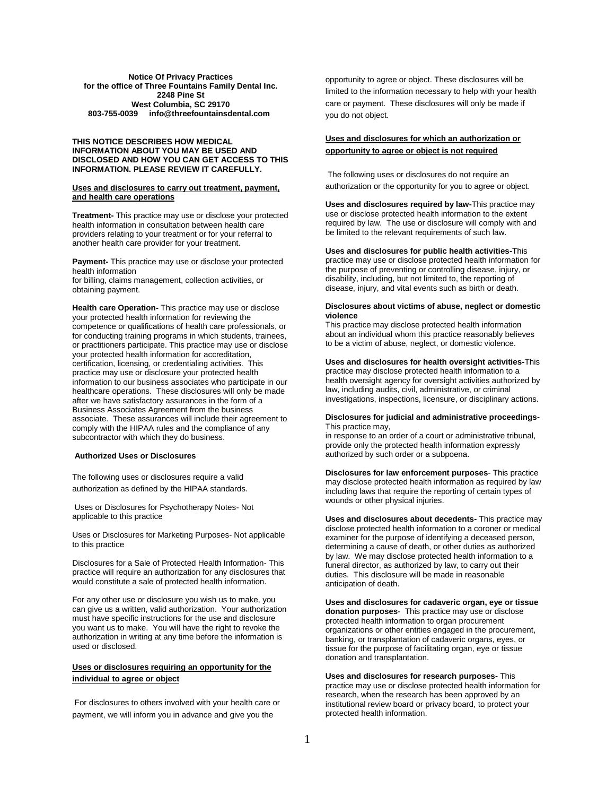## **Notice Of Privacy Practices for the office of Three Fountains Family Dental Inc. 2248 Pine St West Columbia, SC 29170 803-755-0039 info@threefountainsdental.com**

## **THIS NOTICE DESCRIBES HOW MEDICAL INFORMATION ABOUT YOU MAY BE USED AND DISCLOSED AND HOW YOU CAN GET ACCESS TO THIS INFORMATION. PLEASE REVIEW IT CAREFULLY.**

## **Uses and disclosures to carry out treatment, payment, and health care operations**

**Treatment-** This practice may use or disclose your protected health information in consultation between health care providers relating to your treatment or for your referral to another health care provider for your treatment.

**Payment-** This practice may use or disclose your protected health information

for billing, claims management, collection activities, or obtaining payment.

**Health care Operation-** This practice may use or disclose your protected health information for reviewing the competence or qualifications of health care professionals, or for conducting training programs in which students, trainees, or practitioners participate. This practice may use or disclose your protected health information for accreditation, certification, licensing, or credentialing activities. This practice may use or disclosure your protected health information to our business associates who participate in our healthcare operations. These disclosures will only be made after we have satisfactory assurances in the form of a Business Associates Agreement from the business associate. These assurances will include their agreement to comply with the HIPAA rules and the compliance of any subcontractor with which they do business.

## **Authorized Uses or Disclosures**

The following uses or disclosures require a valid authorization as defined by the HIPAA standards.

Uses or Disclosures for Psychotherapy Notes- Not applicable to this practice

Uses or Disclosures for Marketing Purposes- Not applicable to this practice

Disclosures for a Sale of Protected Health Information- This practice will require an authorization for any disclosures that would constitute a sale of protected health information.

For any other use or disclosure you wish us to make, you can give us a written, valid authorization. Your authorization must have specific instructions for the use and disclosure you want us to make. You will have the right to revoke the authorization in writing at any time before the information is used or disclosed.

# **Uses or disclosures requiring an opportunity for the individual to agree or object**

For disclosures to others involved with your health care or payment, we will inform you in advance and give you the

opportunity to agree or object. These disclosures will be limited to the information necessary to help with your health care or payment. These disclosures will only be made if you do not object.

# **Uses and disclosures for which an authorization or opportunity to agree or object is not required**

The following uses or disclosures do not require an authorization or the opportunity for you to agree or object.

**Uses and disclosures required by law-**This practice may use or disclose protected health information to the extent required by law. The use or disclosure will comply with and be limited to the relevant requirements of such law.

**Uses and disclosures for public health activities-**This practice may use or disclose protected health information for the purpose of preventing or controlling disease, injury, or disability, including, but not limited to, the reporting of disease, injury, and vital events such as birth or death.

## **Disclosures about victims of abuse, neglect or domestic violence**

This practice may disclose protected health information about an individual whom this practice reasonably believes to be a victim of abuse, neglect, or domestic violence.

## **Uses and disclosures for health oversight activities-**This practice may disclose protected health information to a

health oversight agency for oversight activities authorized by law, including audits, civil, administrative, or criminal investigations, inspections, licensure, or disciplinary actions.

## **Disclosures for judicial and administrative proceedings-**This practice may,

in response to an order of a court or administrative tribunal, provide only the protected health information expressly authorized by such order or a subpoena.

**Disclosures for law enforcement purposes**- This practice may disclose protected health information as required by law including laws that require the reporting of certain types of wounds or other physical injuries.

**Uses and disclosures about decedents-** This practice may disclose protected health information to a coroner or medical examiner for the purpose of identifying a deceased person, determining a cause of death, or other duties as authorized by law. We may disclose protected health information to a funeral director, as authorized by law, to carry out their duties. This disclosure will be made in reasonable anticipation of death.

**Uses and disclosures for cadaveric organ, eye or tissue donation purposes**- This practice may use or disclose protected health information to organ procurement organizations or other entities engaged in the procurement, banking, or transplantation of cadaveric organs, eyes, or tissue for the purpose of facilitating organ, eye or tissue donation and transplantation.

**Uses and disclosures for research purposes-** This practice may use or disclose protected health information for research, when the research has been approved by an institutional review board or privacy board, to protect your protected health information.